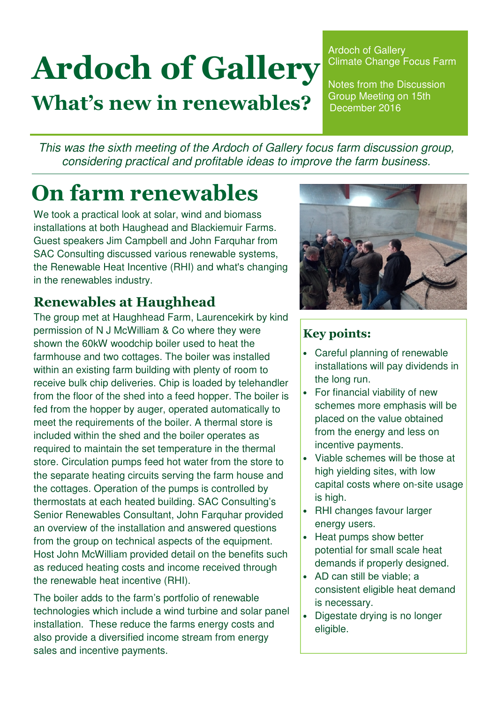# Ardoch of Gallery What's new in renewables?

Ardoch of Gallery Climate Change Focus Farm

Notes from the Discussion Group Meeting on 15th December 2016

This was the sixth meeting of the Ardoch of Gallery focus farm discussion group, considering practical and profitable ideas to improve the farm business.

# On farm renewables

We took a practical look at solar, wind and biomass installations at both Haughead and Blackiemuir Farms. Guest speakers Jim Campbell and John Farquhar from SAC Consulting discussed various renewable systems, the Renewable Heat Incentive (RHI) and what's changing in the renewables industry.

## Renewables at Haughhead

The group met at Haughhead Farm, Laurencekirk by kind permission of N J McWilliam & Co where they were shown the 60kW woodchip boiler used to heat the farmhouse and two cottages. The boiler was installed within an existing farm building with plenty of room to receive bulk chip deliveries. Chip is loaded by telehandler from the floor of the shed into a feed hopper. The boiler is fed from the hopper by auger, operated automatically to meet the requirements of the boiler. A thermal store is included within the shed and the boiler operates as required to maintain the set temperature in the thermal store. Circulation pumps feed hot water from the store to the separate heating circuits serving the farm house and the cottages. Operation of the pumps is controlled by thermostats at each heated building. SAC Consulting's Senior Renewables Consultant, John Farquhar provided an overview of the installation and answered questions from the group on technical aspects of the equipment. Host John McWilliam provided detail on the benefits such as reduced heating costs and income received through the renewable heat incentive (RHI).

The boiler adds to the farm's portfolio of renewable technologies which include a wind turbine and solar panel installation. These reduce the farms energy costs and also provide a diversified income stream from energy sales and incentive payments.



#### Key points:

- Careful planning of renewable installations will pay dividends in the long run.
- For financial viability of new schemes more emphasis will be placed on the value obtained from the energy and less on incentive payments.
- Viable schemes will be those at high yielding sites, with low capital costs where on-site usage is high.
- RHI changes favour larger energy users.
- Heat pumps show better potential for small scale heat demands if properly designed.
- AD can still be viable; a consistent eligible heat demand is necessary.
- Digestate drying is no longer eligible.